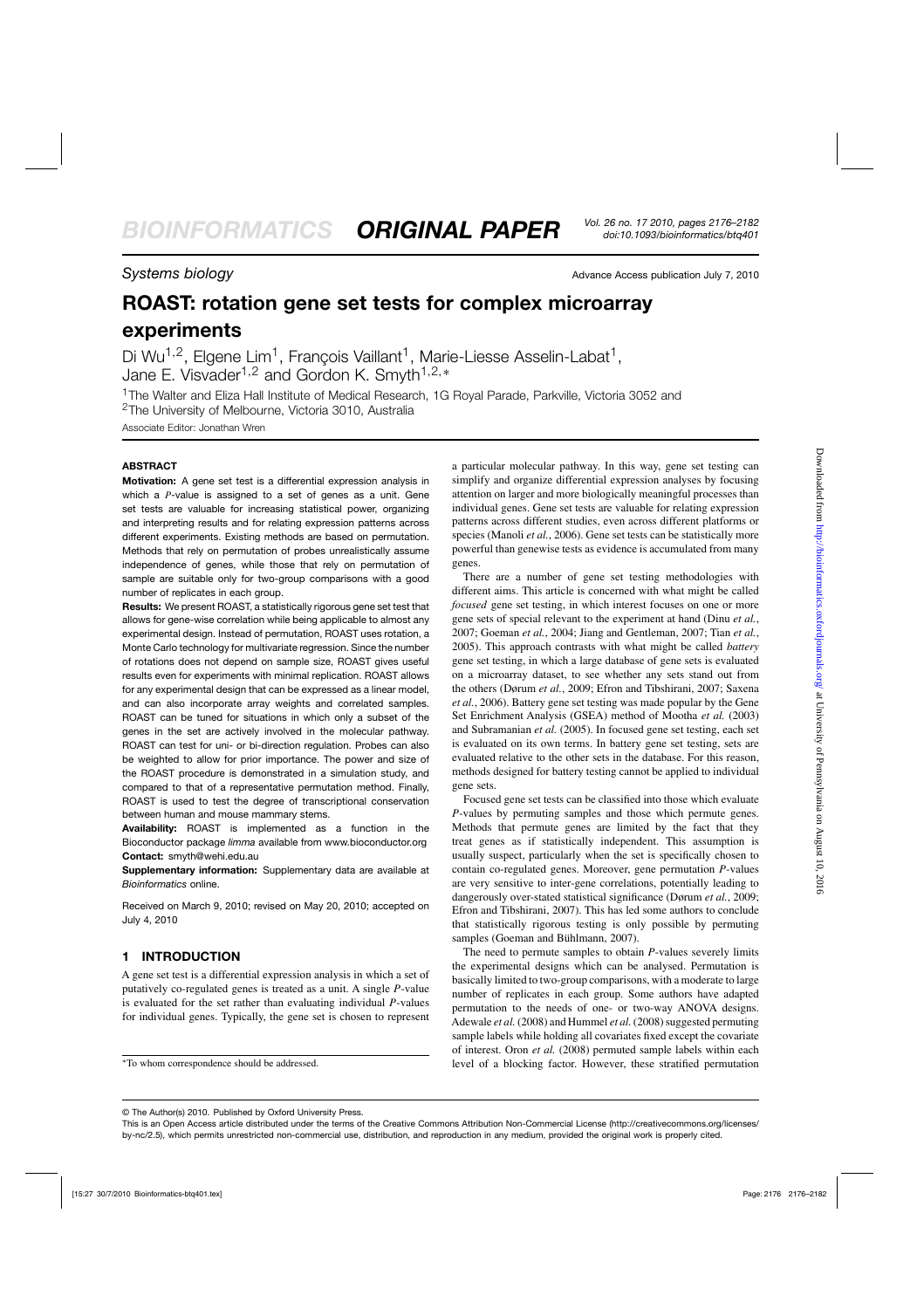**Systems biology Advance Access publication July 7, 2010 Advance Access publication July 7, 2010** 

*doi:10.1093/bioinformatics/btq401*

# **ROAST: rotation gene set tests for complex microarray experiments**

Di Wu<sup>1,2</sup>, Elgene Lim<sup>1</sup>, Francois Vaillant<sup>1</sup>, Marie-Liesse Asselin-Labat<sup>1</sup>, Jane E. Visvader<sup>1,2</sup> and Gordon K. Smyth<sup>1,2,∗</sup>

<sup>1</sup>The Walter and Eliza Hall Institute of Medical Research, 1G Royal Parade, Parkville, Victoria 3052 and 2The University of Melbourne, Victoria 3010, Australia

Associate Editor: Jonathan Wren

# **ABSTRACT**

**Motivation:** A gene set test is a differential expression analysis in which a *P*-value is assigned to a set of genes as a unit. Gene set tests are valuable for increasing statistical power, organizing and interpreting results and for relating expression patterns across different experiments. Existing methods are based on permutation. Methods that rely on permutation of probes unrealistically assume independence of genes, while those that rely on permutation of sample are suitable only for two-group comparisons with a good number of replicates in each group.

**Results:** We present ROAST, a statistically rigorous gene set test that allows for gene-wise correlation while being applicable to almost any experimental design. Instead of permutation, ROAST uses rotation, a Monte Carlo technology for multivariate regression. Since the number of rotations does not depend on sample size, ROAST gives useful results even for experiments with minimal replication. ROAST allows for any experimental design that can be expressed as a linear model. and can also incorporate array weights and correlated samples. ROAST can be tuned for situations in which only a subset of the genes in the set are actively involved in the molecular pathway. ROAST can test for uni- or bi-direction regulation. Probes can also be weighted to allow for prior importance. The power and size of the ROAST procedure is demonstrated in a simulation study, and compared to that of a representative permutation method. Finally, ROAST is used to test the degree of transcriptional conservation between human and mouse mammary stems.

**Availability:** ROAST is implemented as a function in the Bioconductor package *limma* available from www.bioconductor.org **Contact:** smyth@wehi.edu.au

**Supplementary information:** Supplementary data are available at *Bioinformatics* online.

Received on March 9, 2010; revised on May 20, 2010; accepted on July 4, 2010

# **1 INTRODUCTION**

A gene set test is a differential expression analysis in which a set of putatively co-regulated genes is treated as a unit. A single *P*-value is evaluated for the set rather than evaluating individual *P*-values for individual genes. Typically, the gene set is chosen to represent a particular molecular pathway. In this way, gene set testing can simplify and organize differential expression analyses by focusing attention on larger and more biologically meaningful processes than individual genes. Gene set tests are valuable for relating expression patterns across different studies, even across different platforms or species (Manoli *et al.*, 2006). Gene set tests can be statistically more powerful than genewise tests as evidence is accumulated from many genes.

There are a number of gene set testing methodologies with different aims. This article is concerned with what might be called *focused* gene set testing, in which interest focuses on one or more gene sets of special relevant to the experiment at hand (Dinu *et al.*, 2007; Goeman *et al.*, 2004; Jiang and Gentleman, 2007; Tian *et al.*, 2005). This approach contrasts with what might be called *battery* gene set testing, in which a large database of gene sets is evaluated on a microarray dataset, to see whether any sets stand out from the others (Dørum *et al.*, 2009; Efron and Tibshirani, 2007; Saxena *et al.*, 2006). Battery gene set testing was made popular by the Gene Set Enrichment Analysis (GSEA) method of Mootha *et al.* (2003) and Subramanian *et al.* (2005). In focused gene set testing, each set is evaluated on its own terms. In battery gene set testing, sets are evaluated relative to the other sets in the database. For this reason, methods designed for battery testing cannot be applied to individual gene sets.

Focused gene set tests can be classified into those which evaluate *P*-values by permuting samples and those which permute genes. Methods that permute genes are limited by the fact that they treat genes as if statistically independent. This assumption is usually suspect, particularly when the set is specifically chosen to contain co-regulated genes. Moreover, gene permutation *P*-values are very sensitive to inter-gene correlations, potentially leading to dangerously over-stated statistical significance (Dørum *et al.*, 2009; Efron and Tibshirani, 2007). This has led some authors to conclude that statistically rigorous testing is only possible by permuting samples (Goeman and Bühlmann, 2007).

The need to permute samples to obtain *P*-values severely limits the experimental designs which can be analysed. Permutation is basically limited to two-group comparisons, with a moderate to large number of replicates in each group. Some authors have adapted permutation to the needs of one- or two-way ANOVA designs. Adewale *et al.* (2008) and Hummel *et al.* (2008) suggested permuting sample labels while holding all covariates fixed except the covariate of interest. Oron *et al.* (2008) permuted sample labels within each level of a blocking factor. However, these stratified permutation

<sup>∗</sup>To whom correspondence should be addressed.

<sup>©</sup> The Author(s) 2010. Published by Oxford University Press.

This is an Open Access article distributed under the terms of the Creative Commons Attribution Non-Commercial License [\(http://creativecommons.org/licenses/](http://creativecommons.org/licenses/) by-nc/2.5), which permits unrestricted non-commercial use, distribution, and reproduction in any medium, provided the original work is properly cited.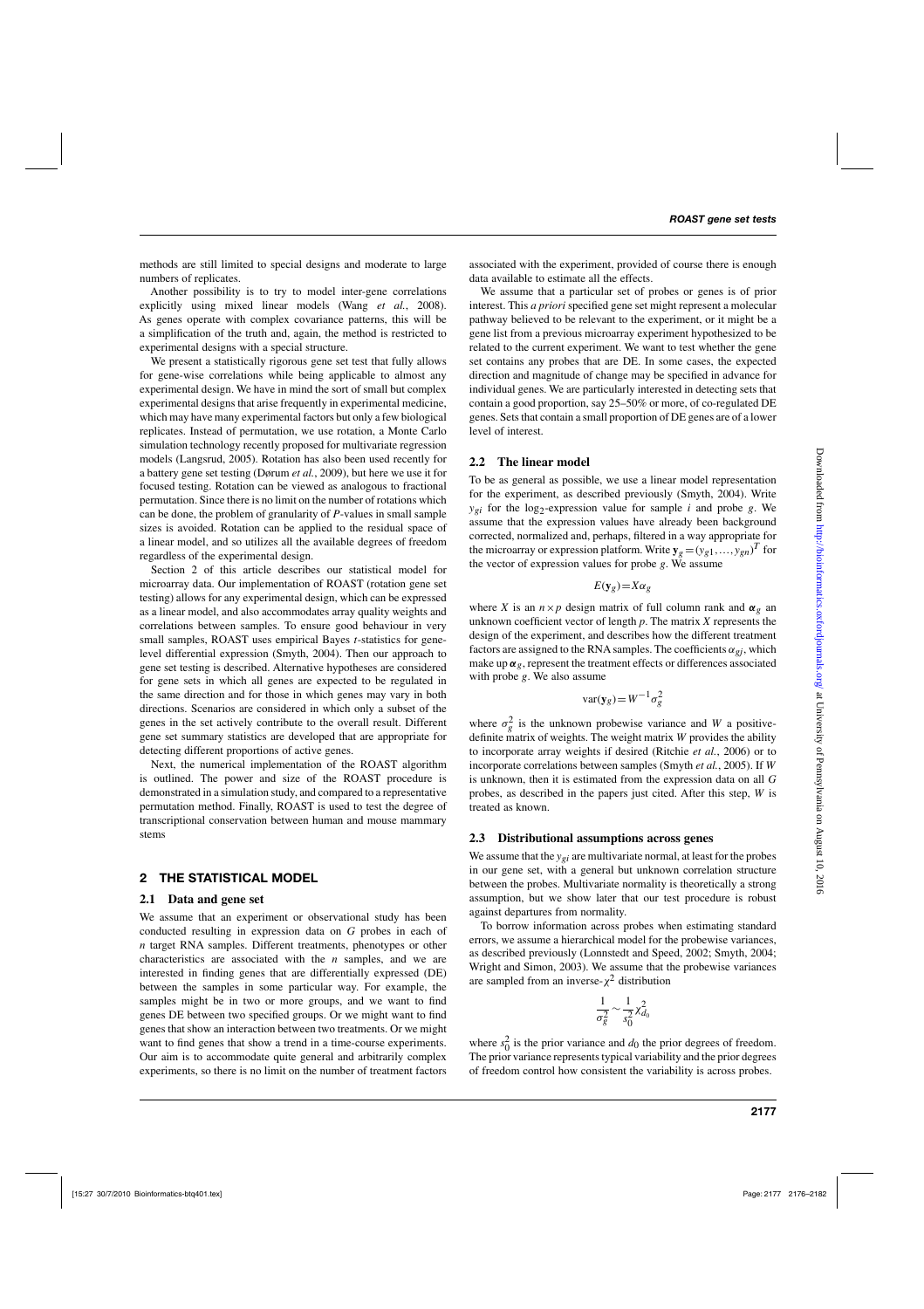methods are still limited to special designs and moderate to large numbers of replicates.

Another possibility is to try to model inter-gene correlations explicitly using mixed linear models (Wang *et al.*, 2008). As genes operate with complex covariance patterns, this will be a simplification of the truth and, again, the method is restricted to experimental designs with a special structure.

We present a statistically rigorous gene set test that fully allows for gene-wise correlations while being applicable to almost any experimental design. We have in mind the sort of small but complex experimental designs that arise frequently in experimental medicine, which may have many experimental factors but only a few biological replicates. Instead of permutation, we use rotation, a Monte Carlo simulation technology recently proposed for multivariate regression models (Langsrud, 2005). Rotation has also been used recently for a battery gene set testing (Dørum *et al.*, 2009), but here we use it for focused testing. Rotation can be viewed as analogous to fractional permutation. Since there is no limit on the number of rotations which can be done, the problem of granularity of *P*-values in small sample sizes is avoided. Rotation can be applied to the residual space of a linear model, and so utilizes all the available degrees of freedom regardless of the experimental design.

Section 2 of this article describes our statistical model for microarray data. Our implementation of ROAST (rotation gene set testing) allows for any experimental design, which can be expressed as a linear model, and also accommodates array quality weights and correlations between samples. To ensure good behaviour in very small samples, ROAST uses empirical Bayes *t*-statistics for genelevel differential expression (Smyth, 2004). Then our approach to gene set testing is described. Alternative hypotheses are considered for gene sets in which all genes are expected to be regulated in the same direction and for those in which genes may vary in both directions. Scenarios are considered in which only a subset of the genes in the set actively contribute to the overall result. Different gene set summary statistics are developed that are appropriate for detecting different proportions of active genes.

Next, the numerical implementation of the ROAST algorithm is outlined. The power and size of the ROAST procedure is demonstrated in a simulation study, and compared to a representative permutation method. Finally, ROAST is used to test the degree of transcriptional conservation between human and mouse mammary stems

### **2 THE STATISTICAL MODEL**

#### **2.1 Data and gene set**

We assume that an experiment or observational study has been conducted resulting in expression data on *G* probes in each of *n* target RNA samples. Different treatments, phenotypes or other characteristics are associated with the *n* samples, and we are interested in finding genes that are differentially expressed (DE) between the samples in some particular way. For example, the samples might be in two or more groups, and we want to find genes DE between two specified groups. Or we might want to find genes that show an interaction between two treatments. Or we might want to find genes that show a trend in a time-course experiments. Our aim is to accommodate quite general and arbitrarily complex experiments, so there is no limit on the number of treatment factors

associated with the experiment, provided of course there is enough data available to estimate all the effects.

We assume that a particular set of probes or genes is of prior interest. This *a priori* specified gene set might represent a molecular pathway believed to be relevant to the experiment, or it might be a gene list from a previous microarray experiment hypothesized to be related to the current experiment. We want to test whether the gene set contains any probes that are DE. In some cases, the expected direction and magnitude of change may be specified in advance for individual genes. We are particularly interested in detecting sets that contain a good proportion, say 25–50% or more, of co-regulated DE genes. Sets that contain a small proportion of DE genes are of a lower level of interest.

### **2.2 The linear model**

To be as general as possible, we use a linear model representation for the experiment, as described previously (Smyth, 2004). Write  $y_{gi}$  for the  $log_2$ -expression value for sample *i* and probe *g*. We assume that the expression values have already been background corrected, normalized and, perhaps, filtered in a way appropriate for the microarray or expression platform. Write  $\mathbf{y}_g = (y_{g1}, \dots, y_{gn})^T$  for the vector of expression values for probe *g*. We assume

$$
E(\mathbf{y}_g) = X\alpha_g
$$

where *X* is an  $n \times p$  design matrix of full column rank and  $\alpha_g$  and unknown coefficient vector of length *p*. The matrix *X* represents the design of the experiment, and describes how the different treatment factors are assigned to the RNA samples. The coefficients  $\alpha_{gi}$ , which make up  $\alpha_g$ , represent the treatment effects or differences associated with probe *g*. We also assume

$$
var(\mathbf{y}_g) = W^{-1} \sigma_g^2
$$

where  $\sigma_g^2$  is the unknown probewise variance and *W* a positivedefinite matrix of weights. The weight matrix *W* provides the ability to incorporate array weights if desired (Ritchie *et al.*, 2006) or to incorporate correlations between samples (Smyth *et al.*, 2005). If *W* is unknown, then it is estimated from the expression data on all *G* probes, as described in the papers just cited. After this step, *W* is treated as known.

#### **2.3 Distributional assumptions across genes**

We assume that the  $y_{gi}$  are multivariate normal, at least for the probes in our gene set, with a general but unknown correlation structure between the probes. Multivariate normality is theoretically a strong assumption, but we show later that our test procedure is robust against departures from normality.

To borrow information across probes when estimating standard errors, we assume a hierarchical model for the probewise variances, as described previously (Lonnstedt and Speed, 2002; Smyth, 2004; Wright and Simon, 2003). We assume that the probewise variances are sampled from an inverse- $\chi^2$  distribution

$$
\frac{1}{\sigma_g^2} \sim \frac{1}{s_0^2}\chi_{d_0}^2
$$

where  $s_0^2$  is the prior variance and  $d_0$  the prior degrees of freedom. The prior variance represents typical variability and the prior degrees of freedom control how consistent the variability is across probes.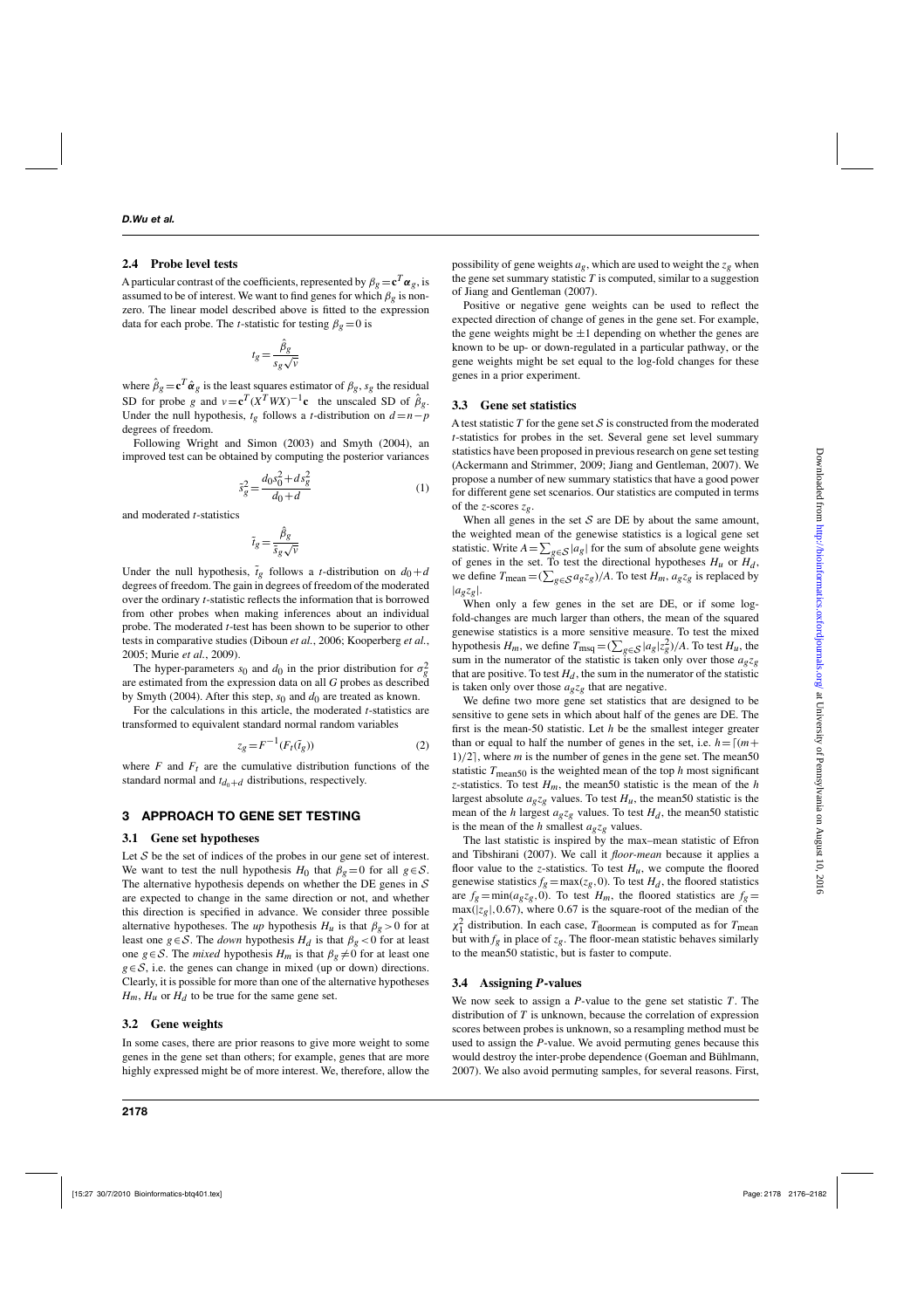# **2.4 Probe level tests**

A particular contrast of the coefficients, represented by  $\beta_g = \mathbf{c}^T \alpha_g$ , is assumed to be of interest. We want to find genes for which  $\beta_{\varrho}$  is nonzero. The linear model described above is fitted to the expression data for each probe. The *t*-statistic for testing  $\beta_g = 0$  is

$$
t_g = \frac{\hat{\beta}_g}{s_g\sqrt{v}}
$$

where  $\hat{\beta}_g = \mathbf{c}^T \hat{\alpha}_g$  is the least squares estimator of  $\beta_g$ ,  $s_g$  the residual SD for probe *g* and  $v = \mathbf{c}^T (X^T W X)^{-1} \mathbf{c}$  the unscaled SD of  $\hat{\beta}_g$ . Under the null hypothesis,  $t_g$  follows a *t*-distribution on  $d = n - p$ degrees of freedom.

Following Wright and Simon (2003) and Smyth (2004), an improved test can be obtained by computing the posterior variances

$$
\tilde{s}_g^2 = \frac{d_0 s_0^2 + ds_g^2}{d_0 + d} \tag{1}
$$

and moderated *t*-statistics

$$
\tilde{t}_g = \frac{\hat{\beta}_g}{\tilde{s}_g \sqrt{\nu}}
$$

Under the null hypothesis,  $\tilde{t}_g$  follows a *t*-distribution on  $d_0 + d$ degrees of freedom. The gain in degrees of freedom of the moderated over the ordinary *t*-statistic reflects the information that is borrowed from other probes when making inferences about an individual probe. The moderated *t*-test has been shown to be superior to other tests in comparative studies (Diboun *et al.*, 2006; Kooperberg *et al.*, 2005; Murie *et al.*, 2009).

The hyper-parameters  $s_0$  and  $d_0$  in the prior distribution for  $\sigma_g^2$ are estimated from the expression data on all *G* probes as described by Smyth (2004). After this step,  $s_0$  and  $d_0$  are treated as known.

For the calculations in this article, the moderated *t*-statistics are transformed to equivalent standard normal random variables

$$
z_g = F^{-1}(F_t(\tilde{t}_g))\tag{2}
$$

where  $F$  and  $F_t$  are the cumulative distribution functions of the standard normal and  $t_{d_0+d}$  distributions, respectively.

# **3 APPROACH TO GENE SET TESTING**

### **3.1 Gene set hypotheses**

Let  $S$  be the set of indices of the probes in our gene set of interest. We want to test the null hypothesis  $H_0$  that  $\beta_g = 0$  for all  $g \in S$ . The alternative hypothesis depends on whether the DE genes in  $S$ are expected to change in the same direction or not, and whether this direction is specified in advance. We consider three possible alternative hypotheses. The *up* hypothesis  $H_u$  is that  $\beta_g > 0$  for at least one *g*∈S. The *down* hypothesis  $H_d$  is that  $\beta_g$  < 0 for at least one  $g \in S$ . The *mixed* hypothesis  $H_m$  is that  $\beta_g \neq 0$  for at least one  $g \in S$ , i.e. the genes can change in mixed (up or down) directions. Clearly, it is possible for more than one of the alternative hypotheses  $H_m$ ,  $H_u$  or  $H_d$  to be true for the same gene set.

### **3.2 Gene weights**

In some cases, there are prior reasons to give more weight to some genes in the gene set than others; for example, genes that are more highly expressed might be of more interest. We, therefore, allow the possibility of gene weights  $a_g$ , which are used to weight the  $z_g$  when the gene set summary statistic  $T$  is computed, similar to a suggestion of Jiang and Gentleman (2007).

Positive or negative gene weights can be used to reflect the expected direction of change of genes in the gene set. For example, the gene weights might be  $\pm 1$  depending on whether the genes are known to be up- or down-regulated in a particular pathway, or the gene weights might be set equal to the log-fold changes for these genes in a prior experiment.

# **3.3 Gene set statistics**

A test statistic  $T$  for the gene set  $S$  is constructed from the moderated *t*-statistics for probes in the set. Several gene set level summary statistics have been proposed in previous research on gene set testing (Ackermann and Strimmer, 2009; Jiang and Gentleman, 2007). We propose a number of new summary statistics that have a good power for different gene set scenarios. Our statistics are computed in terms of the *z*-scores *zg*.

When all genes in the set  $S$  are DE by about the same amount, the weighted mean of the genewise statistics is a logical gene set statistic. Write *A* =  $\sum_{g \in S} |a_g|$  for the sum of absolute gene weights of genes in the set. To test the directional hypotheses *H<sub>u</sub>* or *H<sub>d</sub>*, we define  $T_{\text{mean}} = (\sum_{g \in \mathcal{S}} a_g z_g) / A$ . To test  $H_m$ ,  $a_g z_g$  is replaced by |*agzg*|.

When only a few genes in the set are DE, or if some logfold-changes are much larger than others, the mean of the squared genewise statistics is a more sensitive measure. To test the mixed hypothesis  $H_m$ , we define  $T_{\text{msg}} = (\sum_{g \in S} |a_g| z_g^2)/A$ . To test  $H_u$ , the sum in the numerator of the statistic is taken only over those *agzg* that are positive. To test  $H_d$ , the sum in the numerator of the statistic is taken only over those  $a_gz_g$  that are negative.

We define two more gene set statistics that are designed to be sensitive to gene sets in which about half of the genes are DE. The first is the mean-50 statistic. Let *h* be the smallest integer greater than or equal to half the number of genes in the set, i.e.  $h = [(m +$  $1/2$ ], where *m* is the number of genes in the gene set. The mean50 statistic  $T_{\text{mean}50}$  is the weighted mean of the top  $h$  most significant *z*-statistics. To test  $H_m$ , the mean50 statistic is the mean of the *h* largest absolute  $a_gz_g$  values. To test  $H_u$ , the mean50 statistic is the mean of the *h* largest  $a_gz_g$  values. To test  $H_d$ , the mean50 statistic is the mean of the *h* smallest *agzg* values.

The last statistic is inspired by the max–mean statistic of Efron and Tibshirani (2007). We call it *floor-mean* because it applies a floor value to the *z*-statistics. To test  $H_u$ , we compute the floored genewise statistics  $f_g = \max(z_g, 0)$ . To test  $H_d$ , the floored statistics are  $f_g = min(a_g z_g, 0)$ . To test  $H_m$ , the floored statistics are  $f_g =$  $max(|z_g|, 0.67)$ , where 0.67 is the square-root of the median of the  $\chi_1^2$  distribution. In each case, *T*<sub>floormean</sub> is computed as for *T*<sub>mean</sub> but with  $f_g$  in place of  $z_g$ . The floor-mean statistic behaves similarly to the mean50 statistic, but is faster to compute.

### **3.4 Assigning** *P***-values**

We now seek to assign a *P*-value to the gene set statistic *T*. The distribution of *T* is unknown, because the correlation of expression scores between probes is unknown, so a resampling method must be used to assign the *P*-value. We avoid permuting genes because this would destroy the inter-probe dependence (Goeman and Bühlmann, 2007). We also avoid permuting samples, for several reasons. First,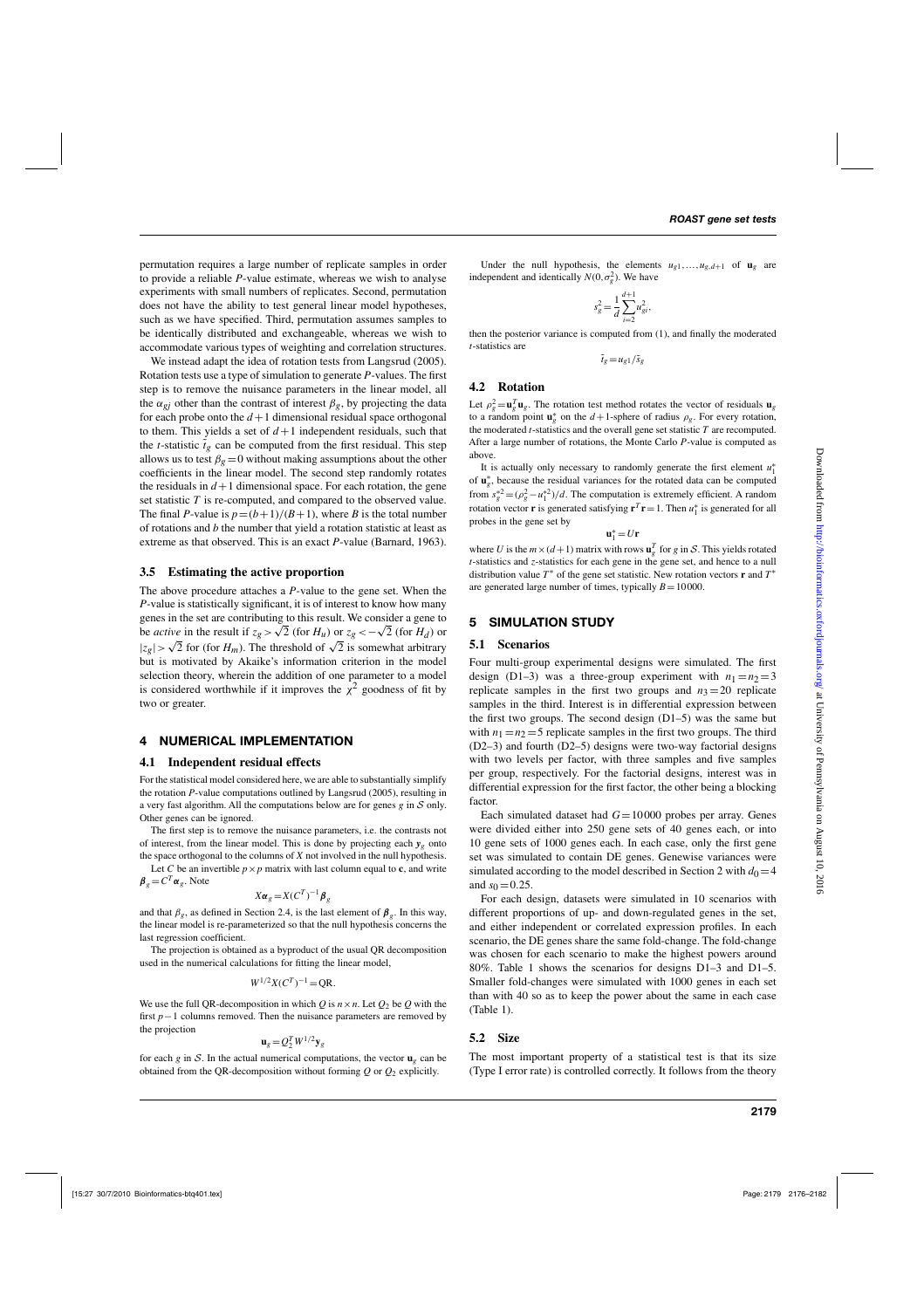permutation requires a large number of replicate samples in order to provide a reliable *P*-value estimate, whereas we wish to analyse experiments with small numbers of replicates. Second, permutation does not have the ability to test general linear model hypotheses, such as we have specified. Third, permutation assumes samples to be identically distributed and exchangeable, whereas we wish to accommodate various types of weighting and correlation structures.

We instead adapt the idea of rotation tests from Langsrud (2005). Rotation tests use a type of simulation to generate *P*-values. The first step is to remove the nuisance parameters in the linear model, all the  $\alpha_{gi}$  other than the contrast of interest  $\beta_g$ , by projecting the data for each probe onto the  $d+1$  dimensional residual space orthogonal to them. This yields a set of  $d+1$  independent residuals, such that the *t*-statistic  $\tilde{t}_g$  can be computed from the first residual. This step allows us to test  $\beta_g = 0$  without making assumptions about the other coefficients in the linear model. The second step randomly rotates the residuals in  $d+1$  dimensional space. For each rotation, the gene set statistic *T* is re-computed, and compared to the observed value. The final *P*-value is  $p = (b+1)/(B+1)$ , where *B* is the total number of rotations and *b* the number that yield a rotation statistic at least as extreme as that observed. This is an exact *P*-value (Barnard, 1963).

#### **3.5 Estimating the active proportion**

The above procedure attaches a *P*-value to the gene set. When the *P*-value is statistically significant, it is of interest to know how many genes in the set are contributing to this result. We consider a gene to be *active* in the result if  $z_g > \sqrt{2}$  (for  $H_u$ ) or  $z_g < -\sqrt{2}$  (for  $H_d$ ) or  $|z_g| > \sqrt{2}$  for (for *H<sub>m</sub>*). The threshold of  $\sqrt{2}$  is somewhat arbitrary but is motivated by Akaike's information criterion in the model selection theory, wherein the addition of one parameter to a model is considered worthwhile if it improves the  $\chi^2$  goodness of fit by two or greater.

### **4 NUMERICAL IMPLEMENTATION**

#### **4.1 Independent residual effects**

For the statistical model considered here, we are able to substantially simplify the rotation *P*-value computations outlined by Langsrud (2005), resulting in a very fast algorithm. All the computations below are for genes *g* in S only. Other genes can be ignored.

The first step is to remove the nuisance parameters, i.e. the contrasts not of interest, from the linear model. This is done by projecting each  $y<sub>g</sub>$  onto the space orthogonal to the columns of *X* not involved in the null hypothesis.

Let *C* be an invertible  $p \times p$  matrix with last column equal to **c**, and write  $\beta$ <sup>*g*</sup> =  $C^T \alpha$ <sup>*g*</sup>. Note

$$
X\alpha_g = X(C^T)^{-1}\beta_g
$$

and that  $\beta_g$ , as defined in Section 2.4, is the last element of  $\beta_g$ . In this way, the linear model is re-parameterized so that the null hypothesis concerns the last regression coefficient.

The projection is obtained as a byproduct of the usual QR decomposition used in the numerical calculations for fitting the linear model,

$$
W^{1/2}X(C^T)^{-1} = QR.
$$

We use the full QR-decomposition in which *Q* is  $n \times n$ . Let  $Q_2$  be *Q* with the first *p*−1 columns removed. Then the nuisance parameters are removed by the projection

$$
\mathbf{u}_g = Q_2^T W^{1/2} \mathbf{y}_g
$$

for each *g* in S. In the actual numerical computations, the vector  $\mathbf{u}_g$  can be obtained from the QR-decomposition without forming  $Q$  or  $Q_2$  explicitly.

Under the null hypothesis, the elements  $u_{g1},...,u_{g,d+1}$  of  $\mathbf{u}_g$  are independent and identically  $N(0, \sigma_g^2)$ . We have

$$
s_g^2 = \frac{1}{d} \sum_{i=2}^{d+1} u_{gi}^2,
$$

then the posterior variance is computed from (1), and finally the moderated *t*-statistics are

 $\tilde{t}_g = u_{g1}/\tilde{s}_g$ 

#### **4.2 Rotation**

Let  $\rho_g^2 = \mathbf{u}_g^T \mathbf{u}_g$ . The rotation test method rotates the vector of residuals  $\mathbf{u}_g$ to a random point  $\mathbf{u}_{g}^{*}$  on the  $d+1$ -sphere of radius  $\rho_{g}$ . For every rotation, the moderated *t*-statistics and the overall gene set statistic *T* are recomputed. After a large number of rotations, the Monte Carlo *P*-value is computed as above.

It is actually only necessary to randomly generate the first element *u*∗ 1 of  $\mathbf{u}_g^*$ , because the residual variances for the rotated data can be computed from  $s_g^*$  =  $(\rho_g^2 - u_1^*^2)/d$ . The computation is extremely efficient. A random rotation vector **r** is generated satisfying  $\mathbf{r}^T \mathbf{r} = 1$ . Then  $u_1^*$  is generated for all probes in the gene set by

$$
\mathbf{u}_1^* = U\mathbf{r}
$$

where *U* is the  $m \times (d+1)$  matrix with rows  $\mathbf{u}_g^T$  for *g* in *S*. This yields rotated *t*-statistics and *z*-statistics for each gene in the gene set, and hence to a null distribution value  $T^*$  of the gene set statistic. New rotation vectors **r** and  $T^*$ are generated large number of times, typically  $B = 10000$ .

#### **5 SIMULATION STUDY**

#### **5.1 Scenarios**

Four multi-group experimental designs were simulated. The first design (D1–3) was a three-group experiment with  $n_1 = n_2 = 3$ replicate samples in the first two groups and  $n_3 = 20$  replicate samples in the third. Interest is in differential expression between the first two groups. The second design (D1–5) was the same but with  $n_1 = n_2 = 5$  replicate samples in the first two groups. The third (D2–3) and fourth (D2–5) designs were two-way factorial designs with two levels per factor, with three samples and five samples per group, respectively. For the factorial designs, interest was in differential expression for the first factor, the other being a blocking factor.

Each simulated dataset had  $G=10000$  probes per array. Genes were divided either into 250 gene sets of 40 genes each, or into 10 gene sets of 1000 genes each. In each case, only the first gene set was simulated to contain DE genes. Genewise variances were simulated according to the model described in Section 2 with  $d_0 = 4$ and  $s_0 = 0.25$ .

For each design, datasets were simulated in 10 scenarios with different proportions of up- and down-regulated genes in the set, and either independent or correlated expression profiles. In each scenario, the DE genes share the same fold-change. The fold-change was chosen for each scenario to make the highest powers around 80%. Table 1 shows the scenarios for designs D1–3 and D1–5. Smaller fold-changes were simulated with 1000 genes in each set than with 40 so as to keep the power about the same in each case (Table 1).

#### **5.2 Size**

The most important property of a statistical test is that its size (Type I error rate) is controlled correctly. It follows from the theory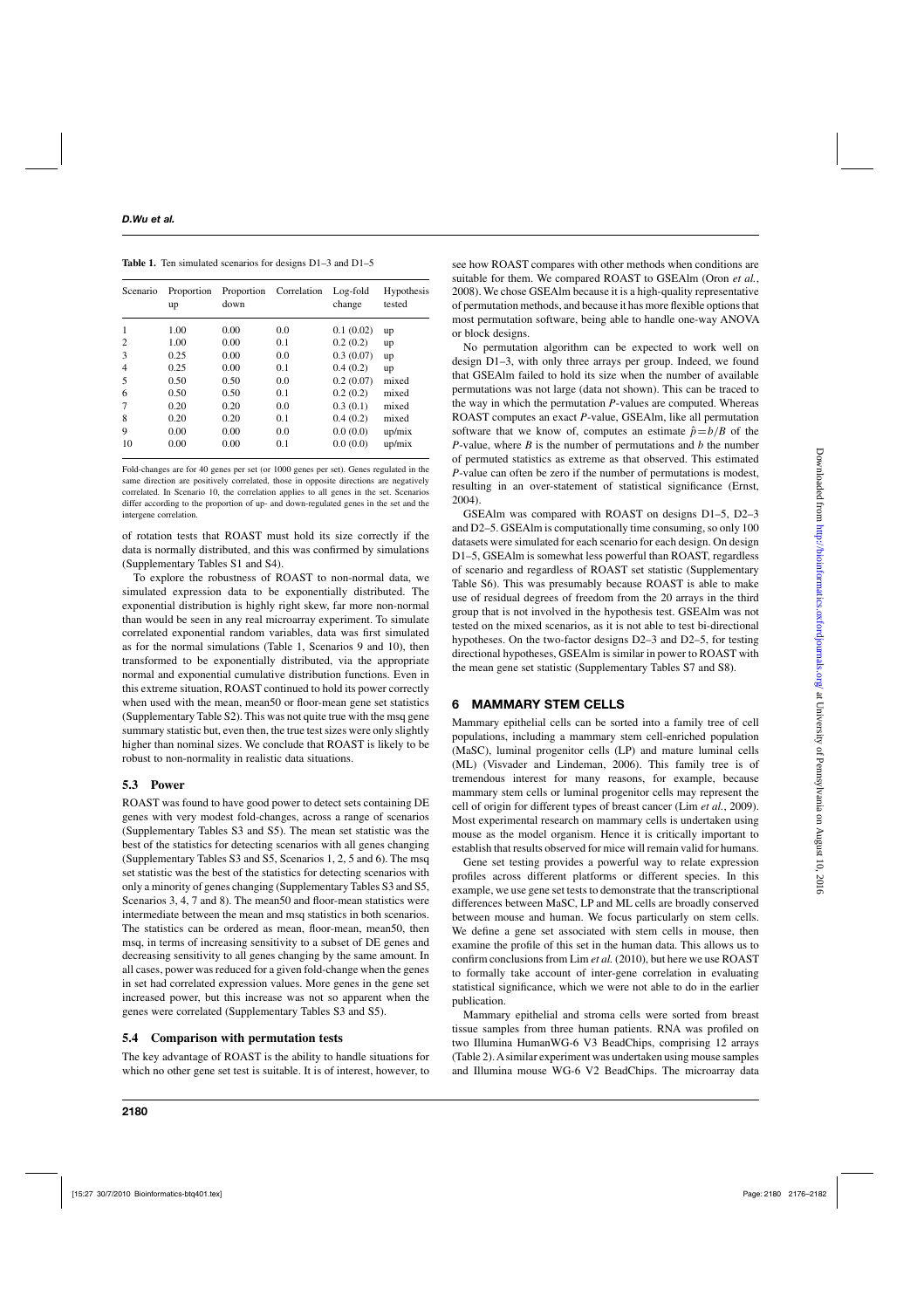**Table 1.** Ten simulated scenarios for designs D1–3 and D1–5

| Scenario | Proportion<br>up | Proportion<br>down | Correlation | Log-fold<br>change | Hypothesis<br>tested |
|----------|------------------|--------------------|-------------|--------------------|----------------------|
| 1        | 1.00             | 0.00               | 0.0         | 0.1(0.02)          | up                   |
| 2        | 1.00             | 0.00               | 0.1         | 0.2(0.2)           | up                   |
| 3        | 0.25             | 0.00               | 0.0         | 0.3(0.07)          | up                   |
| 4        | 0.25             | 0.00               | 0.1         | 0.4(0.2)           | up                   |
| 5        | 0.50             | 0.50               | 0.0         | 0.2(0.07)          | mixed                |
| 6        | 0.50             | 0.50               | 0.1         | 0.2(0.2)           | mixed                |
| 7        | 0.20             | 0.20               | 0.0         | 0.3(0.1)           | mixed                |
| 8        | 0.20             | 0.20               | 0.1         | 0.4(0.2)           | mixed                |
| 9        | 0.00             | 0.00               | 0.0         | 0.0(0.0)           | up/mix               |
| 10       | 0.00             | 0.00               | 0.1         | 0.0(0.0)           | up/mix               |

Fold-changes are for 40 genes per set (or 1000 genes per set). Genes regulated in the same direction are positively correlated, those in opposite directions are negatively correlated. In Scenario 10, the correlation applies to all genes in the set. Scenarios differ according to the proportion of up- and down-regulated genes in the set and the intergene correlation.

of rotation tests that ROAST must hold its size correctly if the data is normally distributed, and this was confirmed by simulations (Supplementary Tables S1 and S4).

To explore the robustness of ROAST to non-normal data, we simulated expression data to be exponentially distributed. The exponential distribution is highly right skew, far more non-normal than would be seen in any real microarray experiment. To simulate correlated exponential random variables, data was first simulated as for the normal simulations (Table 1, Scenarios 9 and 10), then transformed to be exponentially distributed, via the appropriate normal and exponential cumulative distribution functions. Even in this extreme situation, ROAST continued to hold its power correctly when used with the mean, mean50 or floor-mean gene set statistics (Supplementary Table S2). This was not quite true with the msq gene summary statistic but, even then, the true test sizes were only slightly higher than nominal sizes. We conclude that ROAST is likely to be robust to non-normality in realistic data situations.

# **5.3 Power**

ROAST was found to have good power to detect sets containing DE genes with very modest fold-changes, across a range of scenarios (Supplementary Tables S3 and S5). The mean set statistic was the best of the statistics for detecting scenarios with all genes changing (Supplementary Tables S3 and S5, Scenarios 1, 2, 5 and 6). The msq set statistic was the best of the statistics for detecting scenarios with only a minority of genes changing (Supplementary Tables S3 and S5, Scenarios 3, 4, 7 and 8). The mean50 and floor-mean statistics were intermediate between the mean and msq statistics in both scenarios. The statistics can be ordered as mean, floor-mean, mean50, then msq, in terms of increasing sensitivity to a subset of DE genes and decreasing sensitivity to all genes changing by the same amount. In all cases, power was reduced for a given fold-change when the genes in set had correlated expression values. More genes in the gene set increased power, but this increase was not so apparent when the genes were correlated (Supplementary Tables S3 and S5).

# **5.4 Comparison with permutation tests**

The key advantage of ROAST is the ability to handle situations for which no other gene set test is suitable. It is of interest, however, to

see how ROAST compares with other methods when conditions are suitable for them. We compared ROAST to GSEAlm (Oron *et al.*, 2008). We chose GSEAlm because it is a high-quality representative of permutation methods, and because it has more flexible options that most permutation software, being able to handle one-way ANOVA or block designs.

No permutation algorithm can be expected to work well on design D1–3, with only three arrays per group. Indeed, we found that GSEAlm failed to hold its size when the number of available permutations was not large (data not shown). This can be traced to the way in which the permutation *P*-values are computed. Whereas ROAST computes an exact *P*-value, GSEAlm, like all permutation software that we know of, computes an estimate  $\hat{p} = b/B$  of the *P*-value, where *B* is the number of permutations and *b* the number of permuted statistics as extreme as that observed. This estimated *P*-value can often be zero if the number of permutations is modest, resulting in an over-statement of statistical significance (Ernst, 2004).

GSEAlm was compared with ROAST on designs D1–5, D2–3 and D2–5. GSEAlm is computationally time consuming, so only 100 datasets were simulated for each scenario for each design. On design D1–5, GSEAlm is somewhat less powerful than ROAST, regardless of scenario and regardless of ROAST set statistic (Supplementary Table S6). This was presumably because ROAST is able to make use of residual degrees of freedom from the 20 arrays in the third group that is not involved in the hypothesis test. GSEAlm was not tested on the mixed scenarios, as it is not able to test bi-directional hypotheses. On the two-factor designs D2–3 and D2–5, for testing directional hypotheses, GSEAlm is similar in power to ROAST with the mean gene set statistic (Supplementary Tables S7 and S8).

# **6 MAMMARY STEM CELLS**

Mammary epithelial cells can be sorted into a family tree of cell populations, including a mammary stem cell-enriched population (MaSC), luminal progenitor cells (LP) and mature luminal cells (ML) (Visvader and Lindeman, 2006). This family tree is of tremendous interest for many reasons, for example, because mammary stem cells or luminal progenitor cells may represent the cell of origin for different types of breast cancer (Lim *et al.*, 2009). Most experimental research on mammary cells is undertaken using mouse as the model organism. Hence it is critically important to establish that results observed for mice will remain valid for humans.

Gene set testing provides a powerful way to relate expression profiles across different platforms or different species. In this example, we use gene set tests to demonstrate that the transcriptional differences between MaSC, LP and ML cells are broadly conserved between mouse and human. We focus particularly on stem cells. We define a gene set associated with stem cells in mouse, then examine the profile of this set in the human data. This allows us to confirm conclusions from Lim *et al.* (2010), but here we use ROAST to formally take account of inter-gene correlation in evaluating statistical significance, which we were not able to do in the earlier publication.

Mammary epithelial and stroma cells were sorted from breast tissue samples from three human patients. RNA was profiled on two Illumina HumanWG-6 V3 BeadChips, comprising 12 arrays (Table 2).Asimilar experiment was undertaken using mouse samples and Illumina mouse WG-6 V2 BeadChips. The microarray data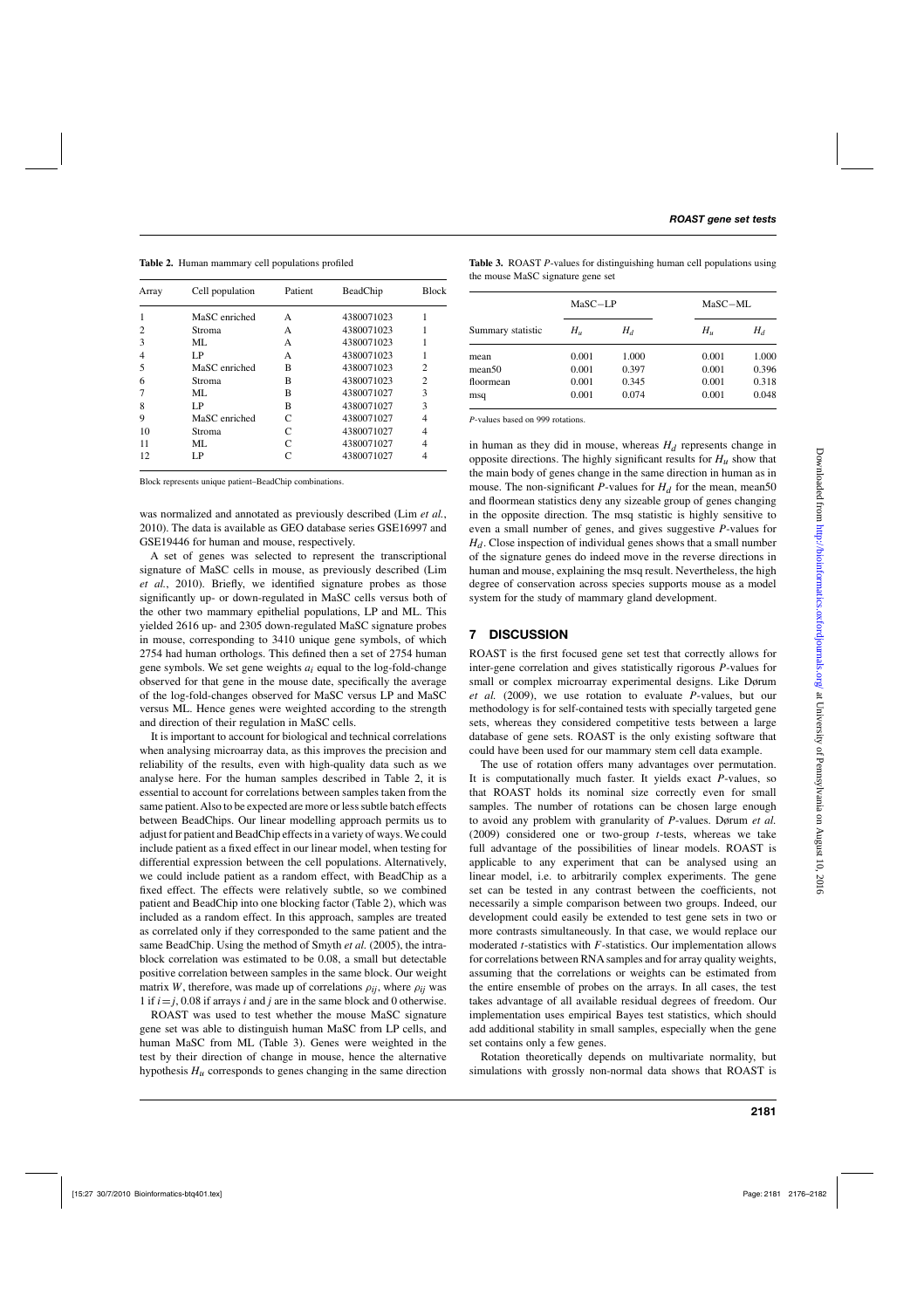**Table 2.** Human mammary cell populations profiled

| Array | Cell population | Patient | BeadChip   | <b>Block</b>   |
|-------|-----------------|---------|------------|----------------|
| 1     | MaSC enriched   | A       | 4380071023 |                |
|       | Stroma          | A       | 4380071023 |                |
| 3     | ML              | A       | 4380071023 |                |
| 4     | LP              | A       | 4380071023 |                |
| 5     | MaSC enriched   | B       | 4380071023 | 2              |
| 6     | Stroma          | R       | 4380071023 | $\mathfrak{D}$ |
|       | ML.             | B       | 4380071027 | 3              |
| 8     | LP              | R       | 4380071027 | 3              |
| 9     | MaSC enriched   | C       | 4380071027 | 4              |
| 10    | Stroma          | C       | 4380071027 | 4              |
| 11    | ML.             |         | 4380071027 | 4              |
| 12    | LΡ              |         | 4380071027 | 4              |

Block represents unique patient–BeadChip combinations.

was normalized and annotated as previously described (Lim *et al.*, 2010). The data is available as GEO database series GSE16997 and GSE19446 for human and mouse, respectively.

A set of genes was selected to represent the transcriptional signature of MaSC cells in mouse, as previously described (Lim *et al.*, 2010). Briefly, we identified signature probes as those significantly up- or down-regulated in MaSC cells versus both of the other two mammary epithelial populations, LP and ML. This yielded 2616 up- and 2305 down-regulated MaSC signature probes in mouse, corresponding to 3410 unique gene symbols, of which 2754 had human orthologs. This defined then a set of 2754 human gene symbols. We set gene weights *ai* equal to the log-fold-change observed for that gene in the mouse date, specifically the average of the log-fold-changes observed for MaSC versus LP and MaSC versus ML. Hence genes were weighted according to the strength and direction of their regulation in MaSC cells.

It is important to account for biological and technical correlations when analysing microarray data, as this improves the precision and reliability of the results, even with high-quality data such as we analyse here. For the human samples described in Table 2, it is essential to account for correlations between samples taken from the same patient.Also to be expected are more or less subtle batch effects between BeadChips. Our linear modelling approach permits us to adjust for patient and BeadChip effects in a variety of ways. We could include patient as a fixed effect in our linear model, when testing for differential expression between the cell populations. Alternatively, we could include patient as a random effect, with BeadChip as a fixed effect. The effects were relatively subtle, so we combined patient and BeadChip into one blocking factor (Table 2), which was included as a random effect. In this approach, samples are treated as correlated only if they corresponded to the same patient and the same BeadChip. Using the method of Smyth *et al.* (2005), the intrablock correlation was estimated to be 0.08, a small but detectable positive correlation between samples in the same block. Our weight matrix *W*, therefore, was made up of correlations  $\rho_{ii}$ , where  $\rho_{ii}$  was 1 if  $i = j$ , 0.08 if arrays *i* and *j* are in the same block and 0 otherwise.

ROAST was used to test whether the mouse MaSC signature gene set was able to distinguish human MaSC from LP cells, and human MaSC from ML (Table 3). Genes were weighted in the test by their direction of change in mouse, hence the alternative hypothesis  $H_u$  corresponds to genes changing in the same direction **Table 3.** ROAST *P*-values for distinguishing human cell populations using the mouse MaSC signature gene set

|                    | MaSC-LP |       |       | MaSC-ML |  |
|--------------------|---------|-------|-------|---------|--|
| Summary statistic  | $H_u$   | $H_d$ | $H_u$ | $H_d$   |  |
| mean               | 0.001   | 1.000 | 0.001 | 1.000   |  |
| mean <sub>50</sub> | 0.001   | 0.397 | 0.001 | 0.396   |  |
| floormean          | 0.001   | 0.345 | 0.001 | 0.318   |  |
| msq                | 0.001   | 0.074 | 0.001 | 0.048   |  |

*P*-values based on 999 rotations.

in human as they did in mouse, whereas  $H<sub>d</sub>$  represents change in opposite directions. The highly significant results for  $H_u$  show that the main body of genes change in the same direction in human as in mouse. The non-significant *P*-values for  $H_d$  for the mean, mean50 and floormean statistics deny any sizeable group of genes changing in the opposite direction. The msq statistic is highly sensitive to even a small number of genes, and gives suggestive *P*-values for *H<sub>d</sub>*. Close inspection of individual genes shows that a small number of the signature genes do indeed move in the reverse directions in human and mouse, explaining the msq result. Nevertheless, the high degree of conservation across species supports mouse as a model system for the study of mammary gland development.

#### **7 DISCUSSION**

ROAST is the first focused gene set test that correctly allows for inter-gene correlation and gives statistically rigorous *P*-values for small or complex microarray experimental designs. Like Dørum *et al.* (2009), we use rotation to evaluate *P*-values, but our methodology is for self-contained tests with specially targeted gene sets, whereas they considered competitive tests between a large database of gene sets. ROAST is the only existing software that could have been used for our mammary stem cell data example.

The use of rotation offers many advantages over permutation. It is computationally much faster. It yields exact *P*-values, so that ROAST holds its nominal size correctly even for small samples. The number of rotations can be chosen large enough to avoid any problem with granularity of *P*-values. Dørum *et al.* (2009) considered one or two-group *t*-tests, whereas we take full advantage of the possibilities of linear models. ROAST is applicable to any experiment that can be analysed using an linear model, i.e. to arbitrarily complex experiments. The gene set can be tested in any contrast between the coefficients, not necessarily a simple comparison between two groups. Indeed, our development could easily be extended to test gene sets in two or more contrasts simultaneously. In that case, we would replace our moderated *t*-statistics with *F*-statistics. Our implementation allows for correlations between RNA samples and for array quality weights, assuming that the correlations or weights can be estimated from the entire ensemble of probes on the arrays. In all cases, the test takes advantage of all available residual degrees of freedom. Our implementation uses empirical Bayes test statistics, which should add additional stability in small samples, especially when the gene set contains only a few genes.

Rotation theoretically depends on multivariate normality, but simulations with grossly non-normal data shows that ROAST is